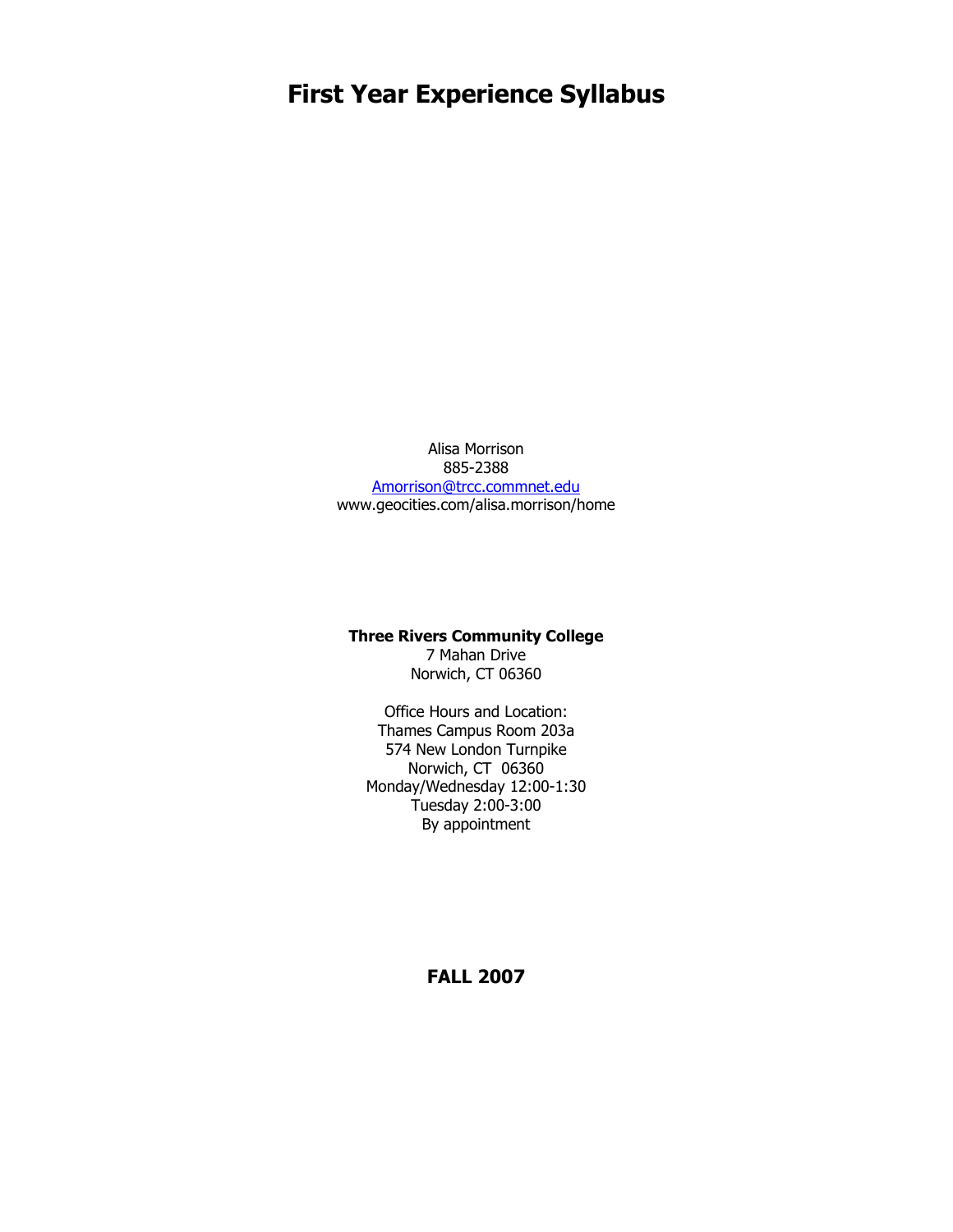# **First Year Experience Syllabus**

Alisa Morrison 885-2388 [Amorrison@trcc.commnet.edu](mailto:Kaubin@trcc.commnet.edu) www.geocities.com/alisa.morrison/home

#### **Three Rivers Community College**

7 Mahan Drive Norwich, CT 06360

Office Hours and Location: Thames Campus Room 203a 574 New London Turnpike Norwich, CT 06360 Monday/Wednesday 12:00-1:30 Tuesday 2:00-3:00 By appointment

**FALL 2007**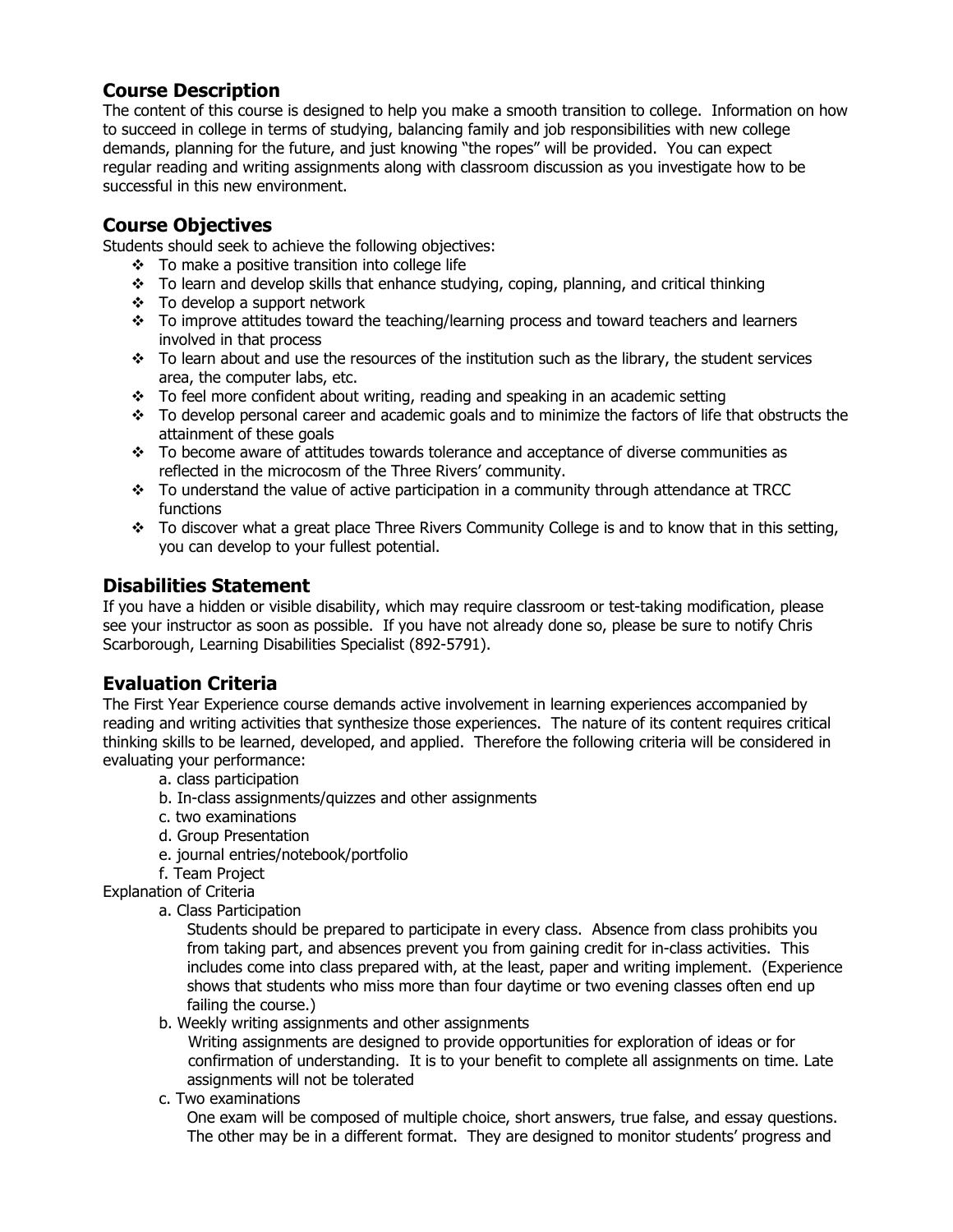# **Course Description**

The content of this course is designed to help you make a smooth transition to college. Information on how to succeed in college in terms of studying, balancing family and job responsibilities with new college demands, planning for the future, and just knowing "the ropes" will be provided. You can expect regular reading and writing assignments along with classroom discussion as you investigate how to be successful in this new environment.

## **Course Objectives**

Students should seek to achieve the following objectives:

- $\div$  To make a positive transition into college life
- $\cdot \cdot$  To learn and develop skills that enhance studying, coping, planning, and critical thinking
- To develop a support network
- $\cdot \cdot$  To improve attitudes toward the teaching/learning process and toward teachers and learners involved in that process
- $\cdot \cdot$  To learn about and use the resources of the institution such as the library, the student services area, the computer labs, etc.
- $\div$  To feel more confident about writing, reading and speaking in an academic setting
- $\cdot \cdot$  To develop personal career and academic goals and to minimize the factors of life that obstructs the attainment of these goals
- $\cdot \cdot$  To become aware of attitudes towards tolerance and acceptance of diverse communities as reflected in the microcosm of the Three Rivers' community.
- To understand the value of active participation in a community through attendance at TRCC functions
- $\cdot \cdot$  To discover what a great place Three Rivers Community College is and to know that in this setting, you can develop to your fullest potential.

# **Disabilities Statement**

If you have a hidden or visible disability, which may require classroom or test-taking modification, please see your instructor as soon as possible. If you have not already done so, please be sure to notify Chris Scarborough, Learning Disabilities Specialist (892-5791).

# **Evaluation Criteria**

The First Year Experience course demands active involvement in learning experiences accompanied by reading and writing activities that synthesize those experiences. The nature of its content requires critical thinking skills to be learned, developed, and applied. Therefore the following criteria will be considered in evaluating your performance:

- a. class participation
- b. In-class assignments/quizzes and other assignments
- c. two examinations
- d. Group Presentation
- e. journal entries/notebook/portfolio

f. Team Project

Explanation of Criteria

a. Class Participation

Students should be prepared to participate in every class. Absence from class prohibits you from taking part, and absences prevent you from gaining credit for in-class activities. This includes come into class prepared with, at the least, paper and writing implement. (Experience shows that students who miss more than four daytime or two evening classes often end up failing the course.)

b. Weekly writing assignments and other assignments

 Writing assignments are designed to provide opportunities for exploration of ideas or for confirmation of understanding. It is to your benefit to complete all assignments on time. Late assignments will not be tolerated

c. Two examinations

One exam will be composed of multiple choice, short answers, true false, and essay questions. The other may be in a different format. They are designed to monitor students' progress and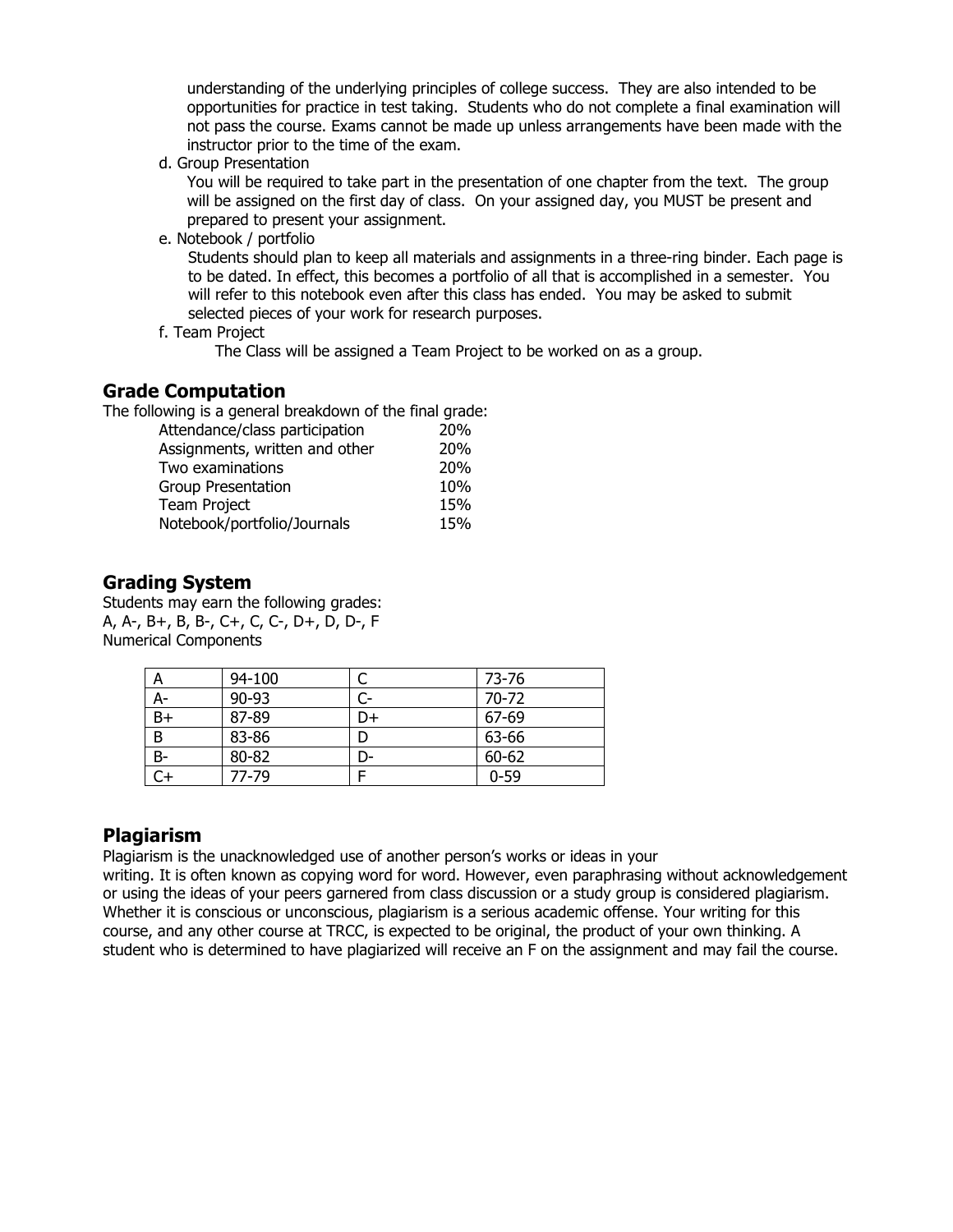understanding of the underlying principles of college success. They are also intended to be opportunities for practice in test taking. Students who do not complete a final examination will not pass the course. Exams cannot be made up unless arrangements have been made with the instructor prior to the time of the exam.

d. Group Presentation

You will be required to take part in the presentation of one chapter from the text. The group will be assigned on the first day of class. On your assigned day, you MUST be present and prepared to present your assignment.

e. Notebook / portfolio

 Students should plan to keep all materials and assignments in a three-ring binder. Each page is to be dated. In effect, this becomes a portfolio of all that is accomplished in a semester. You will refer to this notebook even after this class has ended. You may be asked to submit selected pieces of your work for research purposes.

f. Team Project

The Class will be assigned a Team Project to be worked on as a group.

#### **Grade Computation**

The following is a general breakdown of the final grade:

| Attendance/class participation | 20%        |
|--------------------------------|------------|
| Assignments, written and other | <b>20%</b> |
| Two examinations               | <b>20%</b> |
| <b>Group Presentation</b>      | 10%        |
| <b>Team Project</b>            | 15%        |
| Notebook/portfolio/Journals    | 15%        |

#### **Grading System**

Students may earn the following grades: A, A-, B+, B, B-, C+, C, C-, D+, D, D-, F Numerical Components

| А    | 94-100 |    | 73-76    |
|------|--------|----|----------|
| A-   | 90-93  | C- | 70-72    |
| $B+$ | 87-89  | D+ | 67-69    |
| B    | 83-86  |    | 63-66    |
| $B-$ | 80-82  | D- | 60-62    |
|      | 77-79  |    | $0 - 59$ |

#### **Plagiarism**

Plagiarism is the unacknowledged use of another person's works or ideas in your

writing. It is often known as copying word for word. However, even paraphrasing without acknowledgement or using the ideas of your peers garnered from class discussion or a study group is considered plagiarism. Whether it is conscious or unconscious, plagiarism is a serious academic offense. Your writing for this course, and any other course at TRCC, is expected to be original, the product of your own thinking. A student who is determined to have plagiarized will receive an F on the assignment and may fail the course.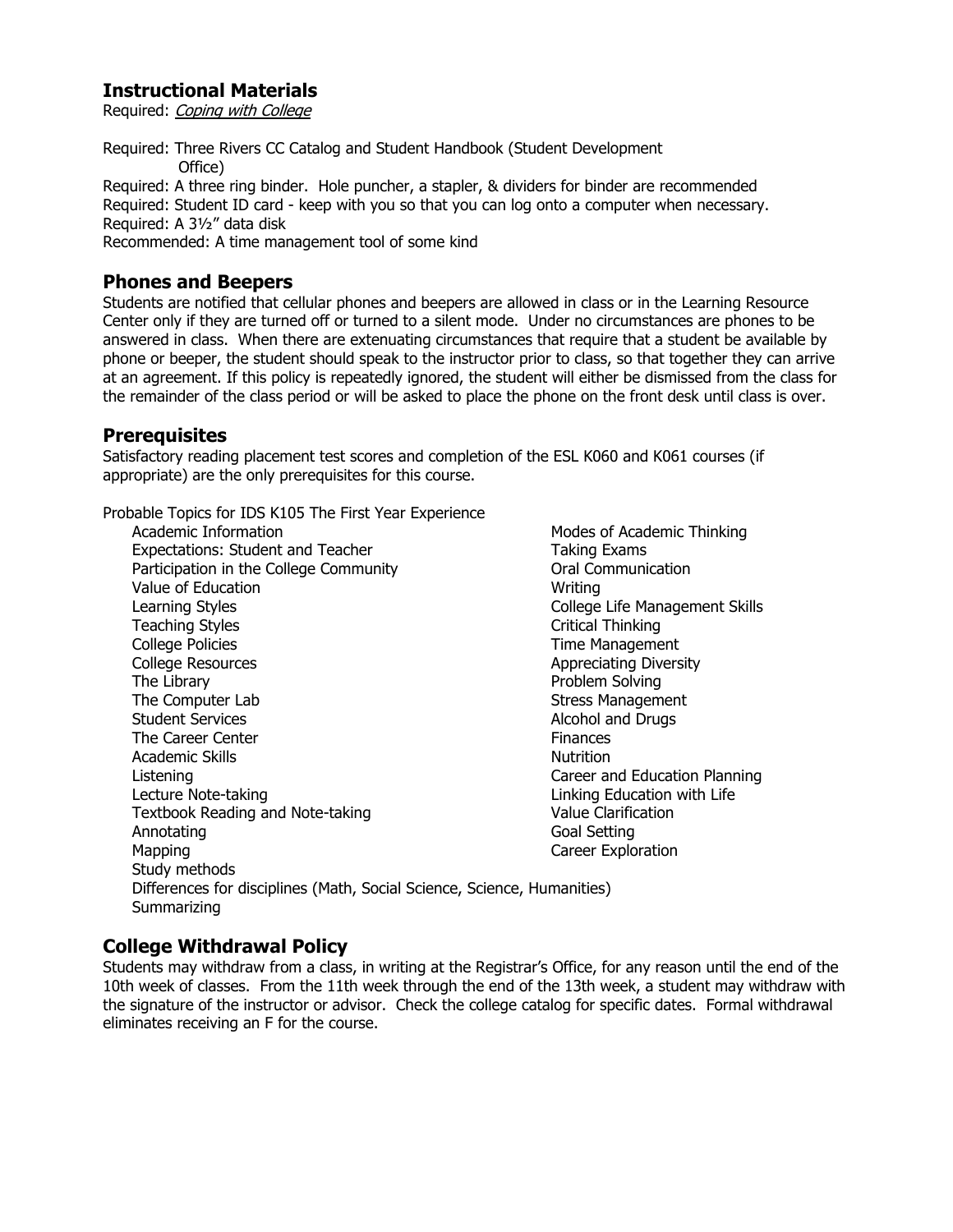## **Instructional Materials**

Required: Coping with College

Required: Three Rivers CC Catalog and Student Handbook (Student Development Office) Required: A three ring binder. Hole puncher, a stapler, & dividers for binder are recommended Required: Student ID card - keep with you so that you can log onto a computer when necessary.

Required: A 3½" data disk

Recommended: A time management tool of some kind

#### **Phones and Beepers**

Students are notified that cellular phones and beepers are allowed in class or in the Learning Resource Center only if they are turned off or turned to a silent mode. Under no circumstances are phones to be answered in class. When there are extenuating circumstances that require that a student be available by phone or beeper, the student should speak to the instructor prior to class, so that together they can arrive at an agreement. If this policy is repeatedly ignored, the student will either be dismissed from the class for the remainder of the class period or will be asked to place the phone on the front desk until class is over.

#### **Prerequisites**

Satisfactory reading placement test scores and completion of the ESL K060 and K061 courses (if appropriate) are the only prerequisites for this course.

Probable Topics for IDS K105 The First Year Experience

Academic Information Modes of Academic Thinking Expectations: Student and Teacher Taking Exams Participation in the College Community **Connunication** Value of Education National Contract Contract Contract Contract Contract Contract Contract Contract Contract Contract Contract Contract Contract Contract Contract Contract Contract Contract Contract Contract Contract Contr Learning Styles **College Life Management Skills** Teaching Styles **Critical Thinking**  College Policies Time Management College Resources **Appreciating Diversity** The Library **Problem Solving** The Computer Lab Stress Management Student Services **Alcohol and Drugs** Alcohol and Drugs The Career Center **Finances** Academic Skills **Nutrition**  Listening Career and Education Planning Lecture Note-taking **Linking Education with Life** Textbook Reading and Note-taking Value Clarification Annotating **Goal Setting** Mapping **Career Exploration**  Study methods Differences for disciplines (Math, Social Science, Science, Humanities) **Summarizing** 

### **College Withdrawal Policy**

Students may withdraw from a class, in writing at the Registrar's Office, for any reason until the end of the 10th week of classes. From the 11th week through the end of the 13th week, a student may withdraw with the signature of the instructor or advisor. Check the college catalog for specific dates. Formal withdrawal eliminates receiving an F for the course.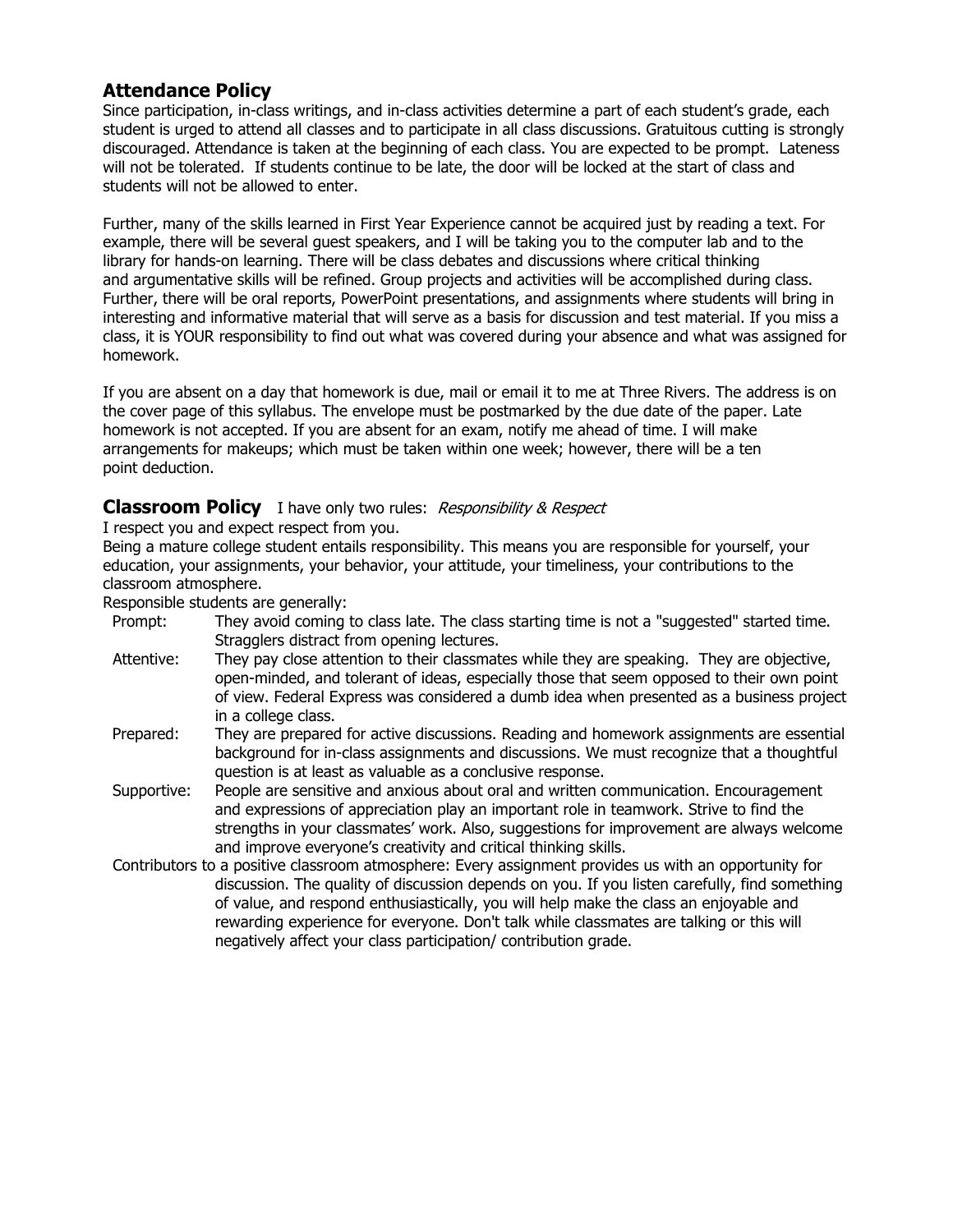## **Attendance Policy**

Since participation, in-class writings, and in-class activities determine a part of each student's grade, each student is urged to attend all classes and to participate in all class discussions. Gratuitous cutting is strongly discouraged. Attendance is taken at the beginning of each class. You are expected to be prompt. Lateness will not be tolerated. If students continue to be late, the door will be locked at the start of class and students will not be allowed to enter.

Further, many of the skills learned in First Year Experience cannot be acquired just by reading a text. For example, there will be several guest speakers, and I will be taking you to the computer lab and to the library for hands-on learning. There will be class debates and discussions where critical thinking and argumentative skills will be refined. Group projects and activities will be accomplished during class. Further, there will be oral reports, PowerPoint presentations, and assignments where students will bring in interesting and informative material that will serve as a basis for discussion and test material. If you miss a class, it is YOUR responsibility to find out what was covered during your absence and what was assigned for homework.

If you are absent on a day that homework is due, mail or email it to me at Three Rivers. The address is on the cover page of this syllabus. The envelope must be postmarked by the due date of the paper. Late homework is not accepted. If you are absent for an exam, notify me ahead of time. I will make arrangements for makeups; which must be taken within one week; however, there will be a ten point deduction.

#### **Classroom Policy** I have only two rules: *Responsibility & Respect*

I respect you and expect respect from you.

Being a mature college student entails responsibility. This means you are responsible for yourself, your education, your assignments, your behavior, your attitude, your timeliness, your contributions to the classroom atmosphere.

Responsible students are generally:

- Prompt: They avoid coming to class late. The class starting time is not a "suggested" started time. Stragglers distract from opening lectures.
- Attentive: They pay close attention to their classmates while they are speaking. They are objective, open-minded, and tolerant of ideas, especially those that seem opposed to their own point of view. Federal Express was considered a dumb idea when presented as a business project in a college class.
- Prepared: They are prepared for active discussions. Reading and homework assignments are essential background for in-class assignments and discussions. We must recognize that a thoughtful question is at least as valuable as a conclusive response.
- Supportive: People are sensitive and anxious about oral and written communication. Encouragement and expressions of appreciation play an important role in teamwork. Strive to find the strengths in your classmates' work. Also, suggestions for improvement are always welcome and improve everyone's creativity and critical thinking skills.
- Contributors to a positive classroom atmosphere: Every assignment provides us with an opportunity for discussion. The quality of discussion depends on you. If you listen carefully, find something of value, and respond enthusiastically, you will help make the class an enjoyable and rewarding experience for everyone. Don't talk while classmates are talking or this will negatively affect your class participation/ contribution grade.